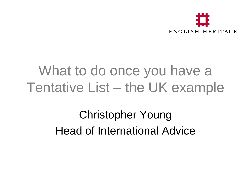

#### What to do once you have a Tentative List – the UK example

Christopher Young Head of International Advice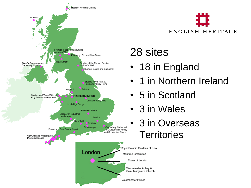



#### 28 sites

- 18 in England
- 1 in Northern Ireland
- 5 in Scotland
- 3 in Wales
- 3 in Overseas **Territories**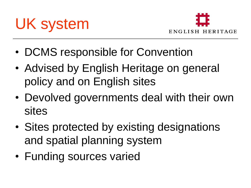



- DCMS responsible for Convention
- Advised by English Heritage on general policy and on English sites
- Devolved governments deal with their own sites
- Sites protected by existing designations and spatial planning system
- Funding sources varied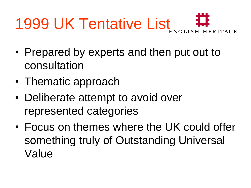

- Prepared by experts and then put out to consultation
- Thematic approach
- Deliberate attempt to avoid over represented categories
- Focus on themes where the UK could offer something truly of Outstanding Universal Value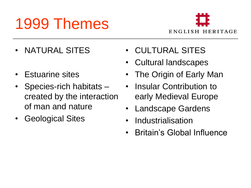#### 1999 Themes



- NATURAL SITES
- Estuarine sites
- Species-rich habitats created by the interaction of man and nature
- Geological Sites
- CULTURAL SITES
- Cultural landscapes
- The Origin of Early Man
- Insular Contribution to early Medieval Europe
- **Landscape Gardens**
- **Industrialisation**
- Britain's Global Influence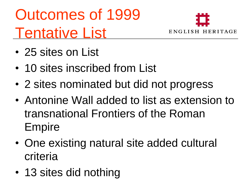# Outcomes of 1999 Tentative List



- 25 sites on List
- 10 sites inscribed from List
- 2 sites nominated but did not progress
- Antonine Wall added to list as extension to transnational Frontiers of the Roman Empire
- One existing natural site added cultural criteria
- 13 sites did nothing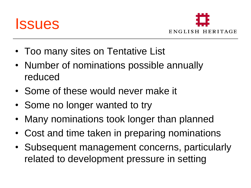



- Too many sites on Tentative List
- Number of nominations possible annually reduced
- Some of these would never make it
- Some no longer wanted to try
- Many nominations took longer than planned
- Cost and time taken in preparing nominations
- Subsequent management concerns, particularly related to development pressure in setting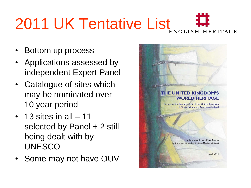# 2011 UK Tentative List<sub>ENGLISH</sub> #

- Bottom up process
- Applications assessed by independent Expert Panel
- Catalogue of sites which may be nominated over 10 year period
- $\cdot$  13 sites in all  $-11$ selected by Panel + 2 still being dealt with by UNESCO
- Some may not have OUV

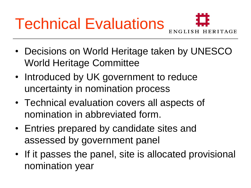# Technical Evaluations



- Decisions on World Heritage taken by UNESCO World Heritage Committee
- Introduced by UK government to reduce uncertainty in nomination process
- Technical evaluation covers all aspects of nomination in abbreviated form.
- Entries prepared by candidate sites and assessed by government panel
- If it passes the panel, site is allocated provisional nomination year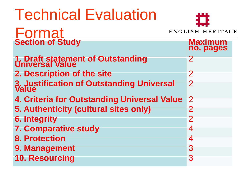## Technical Evaluation

#### Forma ENGLISH HERITAGE **Section of Study Maximum no. pages 1. Draft statement of Outstanding Universal Value** <sup>2</sup> **2. Description of the site 20 August 20 August 20 August 20 August 20 August 20 August 20 August 20 August 20 August 20 August 20 August 20 August 20 August 20 August 20 August 20 August 20 August 20 August 20 August 20 A 3. Justification of Outstanding Universal 2 4. Criteria for Outstanding Universal Value** 2 **5. Authenticity (cultural sites only)** 2 **6. Integrity** 2 **7. Comparative study** 4 **8. Protection** 4 **9. Management** 3 **10. Resourcing** 3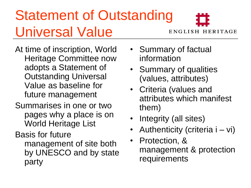#### Statement of Outstanding Universal Value

**ENGLISH HERITAGE** 

- At time of inscription, World Heritage Committee now adopts a Statement of Outstanding Universal Value as baseline for future management
- Summarises in one or two pages why a place is on World Heritage List
- Basis for future management of site both by UNESCO and by state party
- Summary of factual information
- Summary of qualities (values, attributes)
- Criteria (values and attributes which manifest them)
- Integrity (all sites)
- Authenticity (criteria i vi)
- Protection, & management & protection requirements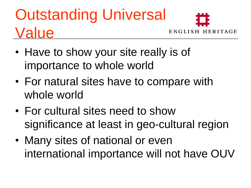## Outstanding Universal Value



- Have to show your site really is of importance to whole world
- For natural sites have to compare with whole world
- For cultural sites need to show significance at least in geo-cultural region
- Many sites of national or even international importance will not have OUV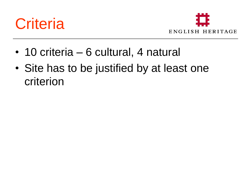



- 10 criteria 6 cultural, 4 natural
- Site has to be justified by at least one criterion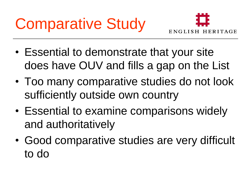

- Essential to demonstrate that your site does have OUV and fills a gap on the List
- Too many comparative studies do not look sufficiently outside own country
- Essential to examine comparisons widely and authoritatively
- Good comparative studies are very difficult to do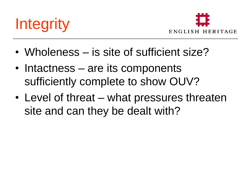



- Wholeness is site of sufficient size?
- Intactness are its components sufficiently complete to show OUV?
- Level of threat what pressures threaten site and can they be dealt with?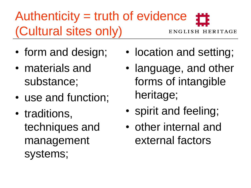#### Authenticity = truth of evidence (Cultural sites only) ENGLISH HERITAGE

- form and design;
- materials and substance;
- use and function;
- traditions, techniques and management systems;
- location and setting;
- language, and other forms of intangible heritage;
- spirit and feeling;
- other internal and external factors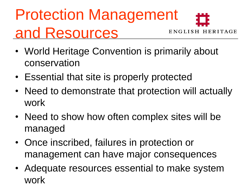#### Protection Management and Resources ENGLISH HERITAGE

- World Heritage Convention is primarily about conservation
- Essential that site is properly protected
- Need to demonstrate that protection will actually work
- Need to show how often complex sites will be managed
- Once inscribed, failures in protection or management can have major consequences
- Adequate resources essential to make system work